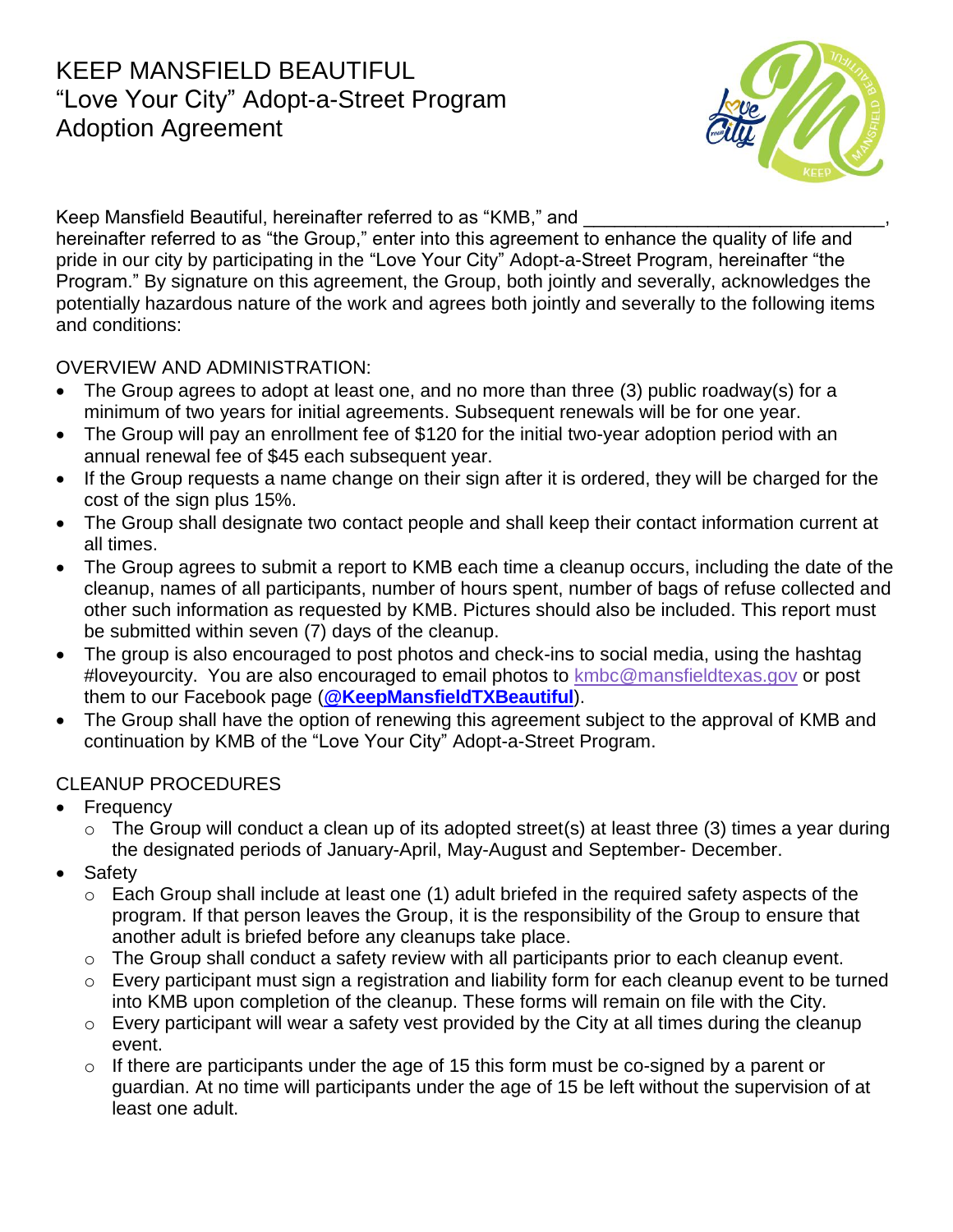## KEEP MANSFIELD BEAUTIFUL "Love Your City" Adopt-a-Street Program Adoption Agreement



Keep Mansfield Beautiful, hereinafter referred to as "KMB," and

hereinafter referred to as "the Group," enter into this agreement to enhance the quality of life and pride in our city by participating in the "Love Your City" Adopt-a-Street Program, hereinafter "the Program." By signature on this agreement, the Group, both jointly and severally, acknowledges the potentially hazardous nature of the work and agrees both jointly and severally to the following items and conditions:

## OVERVIEW AND ADMINISTRATION:

- The Group agrees to adopt at least one, and no more than three (3) public roadway(s) for a minimum of two years for initial agreements. Subsequent renewals will be for one year.
- The Group will pay an enrollment fee of \$120 for the initial two-year adoption period with an annual renewal fee of \$45 each subsequent year.
- If the Group requests a name change on their sign after it is ordered, they will be charged for the cost of the sign plus 15%.
- The Group shall designate two contact people and shall keep their contact information current at all times.
- The Group agrees to submit a report to KMB each time a cleanup occurs, including the date of the cleanup, names of all participants, number of hours spent, number of bags of refuse collected and other such information as requested by KMB. Pictures should also be included. This report must be submitted within seven (7) days of the cleanup.
- The group is also encouraged to post photos and check-ins to social media, using the hashtag #loveyourcity. You are also encouraged to email photos to [kmbc@mansfieldtexas.gov](mailto:kmbc@mansfieldtexas.gov) or post them to our Facebook page (**[@KeepMansfieldTXBeautiful](https://www.facebook.com/KeepMansfieldTXBeautiful/)**).
- The Group shall have the option of renewing this agreement subject to the approval of KMB and continuation by KMB of the "Love Your City" Adopt-a-Street Program.

## CLEANUP PROCEDURES

- **Frequency** 
	- $\circ$  The Group will conduct a clean up of its adopted street(s) at least three (3) times a year during the designated periods of January-April, May-August and September- December.
- Safety
	- o Each Group shall include at least one (1) adult briefed in the required safety aspects of the program. If that person leaves the Group, it is the responsibility of the Group to ensure that another adult is briefed before any cleanups take place.
	- o The Group shall conduct a safety review with all participants prior to each cleanup event.
	- o Every participant must sign a registration and liability form for each cleanup event to be turned into KMB upon completion of the cleanup. These forms will remain on file with the City.
	- $\circ$  Every participant will wear a safety vest provided by the City at all times during the cleanup event.
	- $\circ$  If there are participants under the age of 15 this form must be co-signed by a parent or guardian. At no time will participants under the age of 15 be left without the supervision of at least one adult.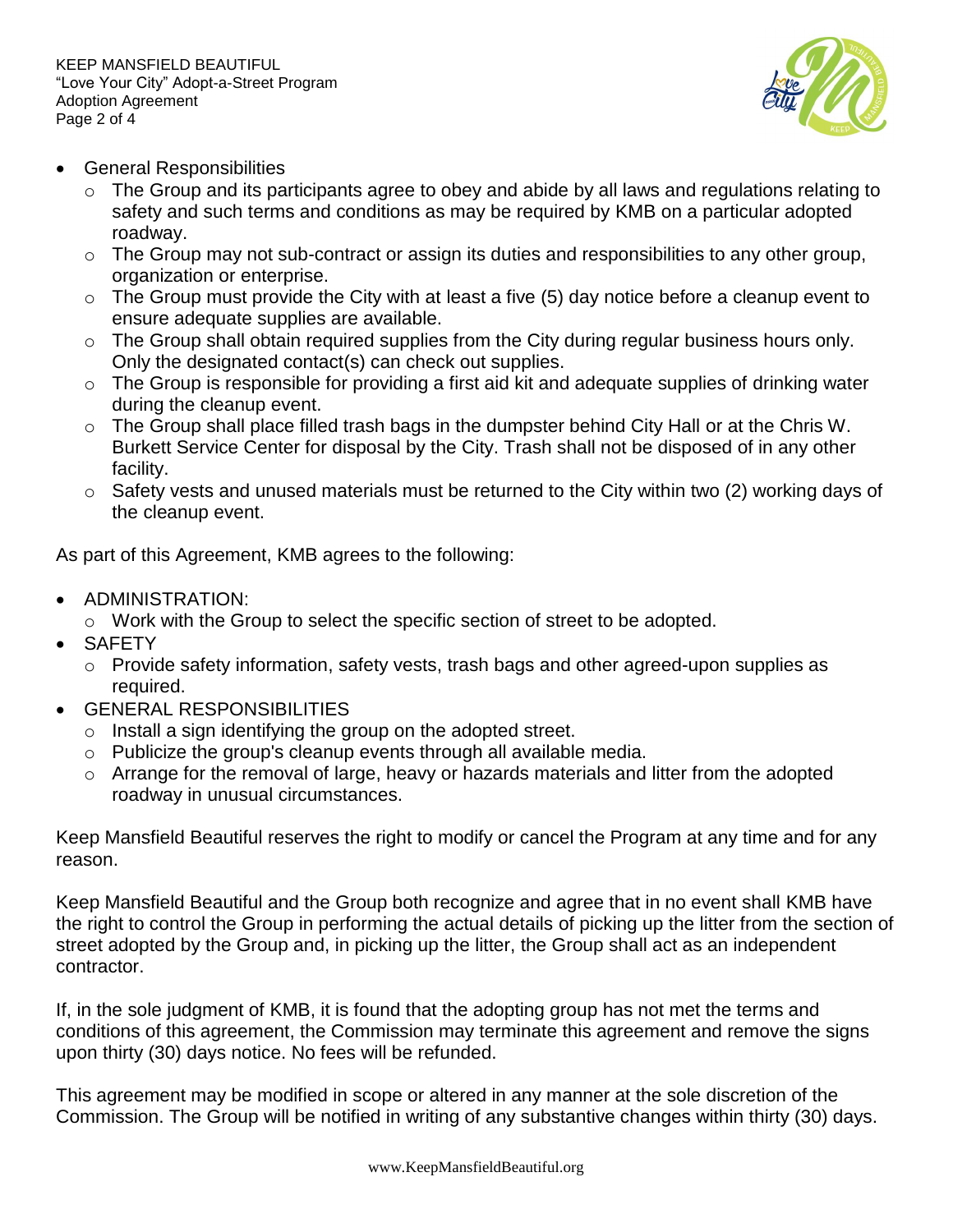

- General Responsibilities
	- $\circ$  The Group and its participants agree to obey and abide by all laws and regulations relating to safety and such terms and conditions as may be required by KMB on a particular adopted roadway.
	- $\circ$  The Group may not sub-contract or assign its duties and responsibilities to any other group, organization or enterprise.
	- $\circ$  The Group must provide the City with at least a five (5) day notice before a cleanup event to ensure adequate supplies are available.
	- o The Group shall obtain required supplies from the City during regular business hours only. Only the designated contact(s) can check out supplies.
	- $\circ$  The Group is responsible for providing a first aid kit and adequate supplies of drinking water during the cleanup event.
	- $\circ$  The Group shall place filled trash bags in the dumpster behind City Hall or at the Chris W. Burkett Service Center for disposal by the City. Trash shall not be disposed of in any other facility.
	- $\circ$  Safety vests and unused materials must be returned to the City within two (2) working days of the cleanup event.

As part of this Agreement, KMB agrees to the following:

- ADMINISTRATION:
	- o Work with the Group to select the specific section of street to be adopted.
- SAFETY
	- o Provide safety information, safety vests, trash bags and other agreed-upon supplies as required.
- GENERAL RESPONSIBILITIES
	- $\circ$  Install a sign identifying the group on the adopted street.
	- o Publicize the group's cleanup events through all available media.
	- $\circ$  Arrange for the removal of large, heavy or hazards materials and litter from the adopted roadway in unusual circumstances.

Keep Mansfield Beautiful reserves the right to modify or cancel the Program at any time and for any reason.

Keep Mansfield Beautiful and the Group both recognize and agree that in no event shall KMB have the right to control the Group in performing the actual details of picking up the litter from the section of street adopted by the Group and, in picking up the litter, the Group shall act as an independent contractor.

If, in the sole judgment of KMB, it is found that the adopting group has not met the terms and conditions of this agreement, the Commission may terminate this agreement and remove the signs upon thirty (30) days notice. No fees will be refunded.

This agreement may be modified in scope or altered in any manner at the sole discretion of the Commission. The Group will be notified in writing of any substantive changes within thirty (30) days.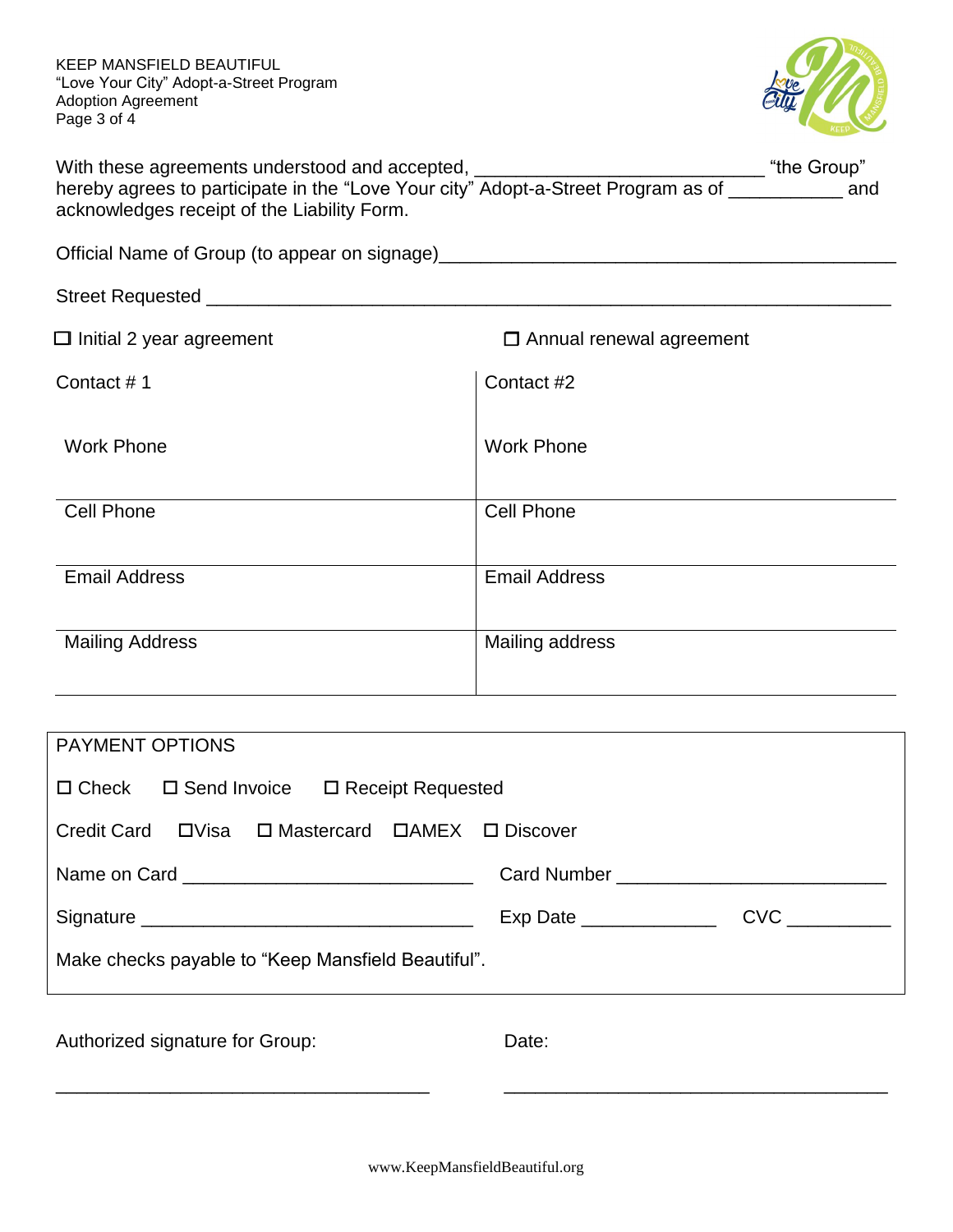KEEP MANSFIELD BEAUTIFUL "Love Your City" Adopt-a-Street Program Adoption Agreement Page 3 of 4



| With these agreements understood and accepted,                                    | "the Group" |     |
|-----------------------------------------------------------------------------------|-------------|-----|
| hereby agrees to participate in the "Love Your city" Adopt-a-Street Program as of |             | and |
| acknowledges receipt of the Liability Form.                                       |             |     |

Official Name of Group (to appear on signage)\_\_\_\_\_\_\_\_\_\_\_\_\_\_\_\_\_\_\_\_\_\_\_\_\_\_\_\_\_\_\_\_\_\_\_\_\_\_\_\_\_\_\_\_

| $\Box$ Initial 2 year agreement | $\Box$ Annual renewal agreement |
|---------------------------------|---------------------------------|
| Contact #1                      | Contact #2                      |
| <b>Work Phone</b>               | <b>Work Phone</b>               |
| <b>Cell Phone</b>               | <b>Cell Phone</b>               |
| <b>Email Address</b>            | <b>Email Address</b>            |
|                                 |                                 |
| <b>Mailing Address</b>          | Mailing address                 |
|                                 |                                 |

| <b>PAYMENT OPTIONS</b>                                    |       |  |  |
|-----------------------------------------------------------|-------|--|--|
| $\Box$ Check $\Box$ Send Invoice $\Box$ Receipt Requested |       |  |  |
|                                                           |       |  |  |
|                                                           |       |  |  |
|                                                           |       |  |  |
| Make checks payable to "Keep Mansfield Beautiful".        |       |  |  |
| Authorized signature for Group:                           | Date: |  |  |

\_\_\_\_\_\_\_\_\_\_\_\_\_\_\_\_\_\_\_\_\_\_\_\_\_\_\_\_\_\_\_\_\_\_\_\_ \_\_\_\_\_\_\_\_\_\_\_\_\_\_\_\_\_\_\_\_\_\_\_\_\_\_\_\_\_\_\_\_\_\_\_\_\_